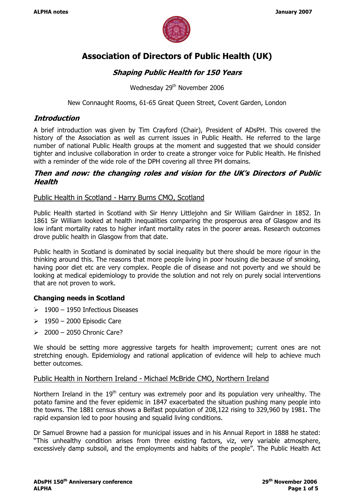

# Association of Directors of Public Health (UK)

# Shaping Public Health for 150 Years

Wednesday 29<sup>th</sup> November 2006

New Connaught Rooms, 61-65 Great Queen Street, Covent Garden, London

## Introduction

A brief introduction was given by Tim Crayford (Chair), President of ADsPH. This covered the history of the Association as well as current issues in Public Health. He referred to the large number of national Public Health groups at the moment and suggested that we should consider tighter and inclusive collaboration in order to create a stronger voice for Public Health. He finished with a reminder of the wide role of the DPH covering all three PH domains.

## Then and now: the changing roles and vision for the UK's Directors of Public **Health**

## Public Health in Scotland - Harry Burns CMO, Scotland

Public Health started in Scotland with Sir Henry Littlejohn and Sir William Gairdner in 1852. In 1861 Sir William looked at health inequalities comparing the prosperous area of Glasgow and its low infant mortality rates to higher infant mortality rates in the poorer areas. Research outcomes drove public health in Glasgow from that date.

Public health in Scotland is dominated by social inequality but there should be more rigour in the thinking around this. The reasons that more people living in poor housing die because of smoking, having poor diet etc are very complex. People die of disease and not poverty and we should be looking at medical epidemiology to provide the solution and not rely on purely social interventions that are not proven to work.

#### Changing needs in Scotland

- $\geq 1900 1950$  Infectious Diseases
- $\geq 1950 2000$  Episodic Care
- $\geq$  2000 2050 Chronic Care?

We should be setting more aggressive targets for health improvement; current ones are not stretching enough. Epidemiology and rational application of evidence will help to achieve much better outcomes.

#### Public Health in Northern Ireland - Michael McBride CMO, Northern Ireland

Northern Ireland in the  $19<sup>th</sup>$  century was extremely poor and its population very unhealthy. The potato famine and the fever epidemic in 1847 exacerbated the situation pushing many people into the towns. The 1881 census shows a Belfast population of 208,122 rising to 329,960 by 1981. The rapid expansion led to poor housing and squalid living conditions.

Dr Samuel Browne had a passion for municipal issues and in his Annual Report in 1888 he stated: "This unhealthy condition arises from three existing factors, viz, very variable atmosphere, excessively damp subsoil, and the employments and habits of the people". The Public Health Act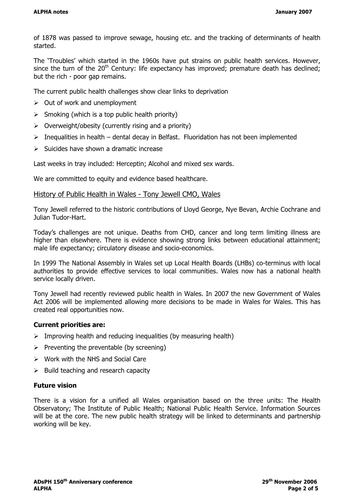of 1878 was passed to improve sewage, housing etc. and the tracking of determinants of health started.

The 'Troubles' which started in the 1960s have put strains on public health services. However, since the turn of the  $20<sup>th</sup>$  Century: life expectancy has improved; premature death has declined; but the rich - poor gap remains.

The current public health challenges show clear links to deprivation

- $\geq$  Out of work and unemployment
- $\triangleright$  Smoking (which is a top public health priority)
- $\triangleright$  Overweight/obesity (currently rising and a priority)
- $\triangleright$  Inequalities in health dental decay in Belfast. Fluoridation has not been implemented
- $\triangleright$  Suicides have shown a dramatic increase

Last weeks in tray included: Herceptin; Alcohol and mixed sex wards.

We are committed to equity and evidence based healthcare.

#### History of Public Health in Wales - Tony Jewell CMO, Wales

Tony Jewell referred to the historic contributions of Lloyd George, Nye Bevan, Archie Cochrane and Julian Tudor-Hart.

Today's challenges are not unique. Deaths from CHD, cancer and long term limiting illness are higher than elsewhere. There is evidence showing strong links between educational attainment; male life expectancy; circulatory disease and socio-economics.

In 1999 The National Assembly in Wales set up Local Health Boards (LHBs) co-terminus with local authorities to provide effective services to local communities. Wales now has a national health service locally driven.

Tony Jewell had recently reviewed public health in Wales. In 2007 the new Government of Wales Act 2006 will be implemented allowing more decisions to be made in Wales for Wales. This has created real opportunities now.

#### Current priorities are:

- $\triangleright$  Improving health and reducing inequalities (by measuring health)
- $\triangleright$  Preventing the preventable (by screening)
- $\triangleright$  Work with the NHS and Social Care
- $\triangleright$  Build teaching and research capacity

#### Future vision

There is a vision for a unified all Wales organisation based on the three units: The Health Observatory; The Institute of Public Health; National Public Health Service. Information Sources will be at the core. The new public health strategy will be linked to determinants and partnership working will be key.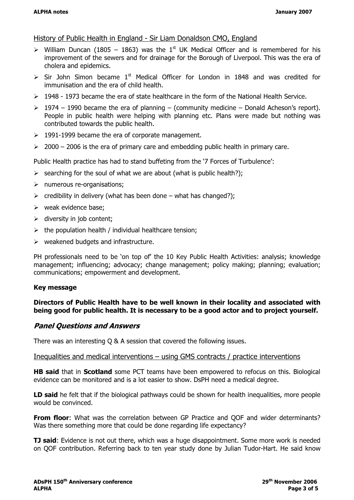## History of Public Health in England - Sir Liam Donaldson CMO, England

- $\triangleright$  William Duncan (1805 1863) was the 1<sup>st</sup> UK Medical Officer and is remembered for his improvement of the sewers and for drainage for the Borough of Liverpool. This was the era of cholera and epidemics.
- $\triangleright$  Sir John Simon became 1<sup>st</sup> Medical Officer for London in 1848 and was credited for immunisation and the era of child health.
- $\geq$  1948 1973 became the era of state healthcare in the form of the National Health Service.
- $\geq 1974 1990$  became the era of planning (community medicine Donald Acheson's report). People in public health were helping with planning etc. Plans were made but nothing was contributed towards the public health.
- $\geq$  1991-1999 became the era of corporate management.
- $\geq$  2000 2006 is the era of primary care and embedding public health in primary care.

Public Health practice has had to stand buffeting from the '7 Forces of Turbulence':

- $\triangleright$  searching for the soul of what we are about (what is public health?);
- $\triangleright$  numerous re-organisations;
- $\triangleright$  credibility in delivery (what has been done what has changed?);
- $\triangleright$  weak evidence base;
- $\triangleright$  diversity in job content;
- $\triangleright$  the population health / individual healthcare tension;
- $\triangleright$  weakened budgets and infrastructure.

PH professionals need to be 'on top of' the 10 Key Public Health Activities: analysis; knowledge management; influencing; advocacy; change management; policy making; planning; evaluation; communications; empowerment and development.

#### Key message

### Directors of Public Health have to be well known in their locality and associated with being good for public health. It is necessary to be a good actor and to project yourself.

## Panel Questions and Answers

There was an interesting Q & A session that covered the following issues.

#### Inequalities and medical interventions – using GMS contracts / practice interventions

**HB said that in Scotland** some PCT teams have been empowered to refocus on this. Biological evidence can be monitored and is a lot easier to show. DsPH need a medical degree.

LD said he felt that if the biological pathways could be shown for health inequalities, more people would be convinced.

**From floor:** What was the correlation between GP Practice and OOF and wider determinants? Was there something more that could be done regarding life expectancy?

**TJ said:** Evidence is not out there, which was a huge disappointment. Some more work is needed on QOF contribution. Referring back to ten year study done by Julian Tudor-Hart. He said know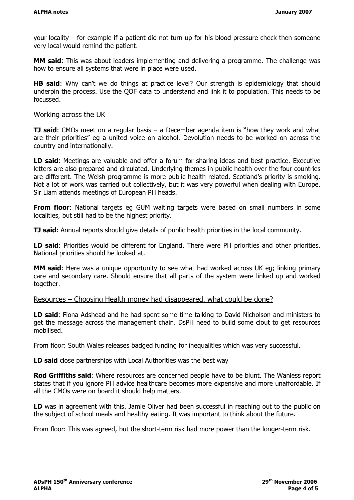your locality – for example if a patient did not turn up for his blood pressure check then someone very local would remind the patient.

MM said: This was about leaders implementing and delivering a programme. The challenge was how to ensure all systems that were in place were used.

**HB said:** Why can't we do things at practice level? Our strength is epidemiology that should underpin the process. Use the QOF data to understand and link it to population. This needs to be focussed.

#### Working across the UK

**TJ said:** CMOs meet on a regular basis – a December agenda item is "how they work and what are their priorities" eg a united voice on alcohol. Devolution needs to be worked on across the country and internationally.

LD said: Meetings are valuable and offer a forum for sharing ideas and best practice. Executive letters are also prepared and circulated. Underlying themes in public health over the four countries are different. The Welsh programme is more public health related. Scotland's priority is smoking. Not a lot of work was carried out collectively, but it was very powerful when dealing with Europe. Sir Liam attends meetings of European PH heads.

From floor: National targets eg GUM waiting targets were based on small numbers in some localities, but still had to be the highest priority.

**TJ said:** Annual reports should give details of public health priorities in the local community.

LD said: Priorities would be different for England. There were PH priorities and other priorities. National priorities should be looked at.

**MM said:** Here was a unique opportunity to see what had worked across UK eq; linking primary care and secondary care. Should ensure that all parts of the system were linked up and worked together.

## Resources – Choosing Health money had disappeared, what could be done?

LD said: Fiona Adshead and he had spent some time talking to David Nicholson and ministers to get the message across the management chain. DsPH need to build some clout to get resources mobilised.

From floor: South Wales releases badged funding for inequalities which was very successful.

LD said close partnerships with Local Authorities was the best way

Rod Griffiths said: Where resources are concerned people have to be blunt. The Wanless report states that if you ignore PH advice healthcare becomes more expensive and more unaffordable. If all the CMOs were on board it should help matters.

LD was in agreement with this. Jamie Oliver had been successful in reaching out to the public on the subject of school meals and healthy eating. It was important to think about the future.

From floor: This was agreed, but the short-term risk had more power than the longer-term risk.